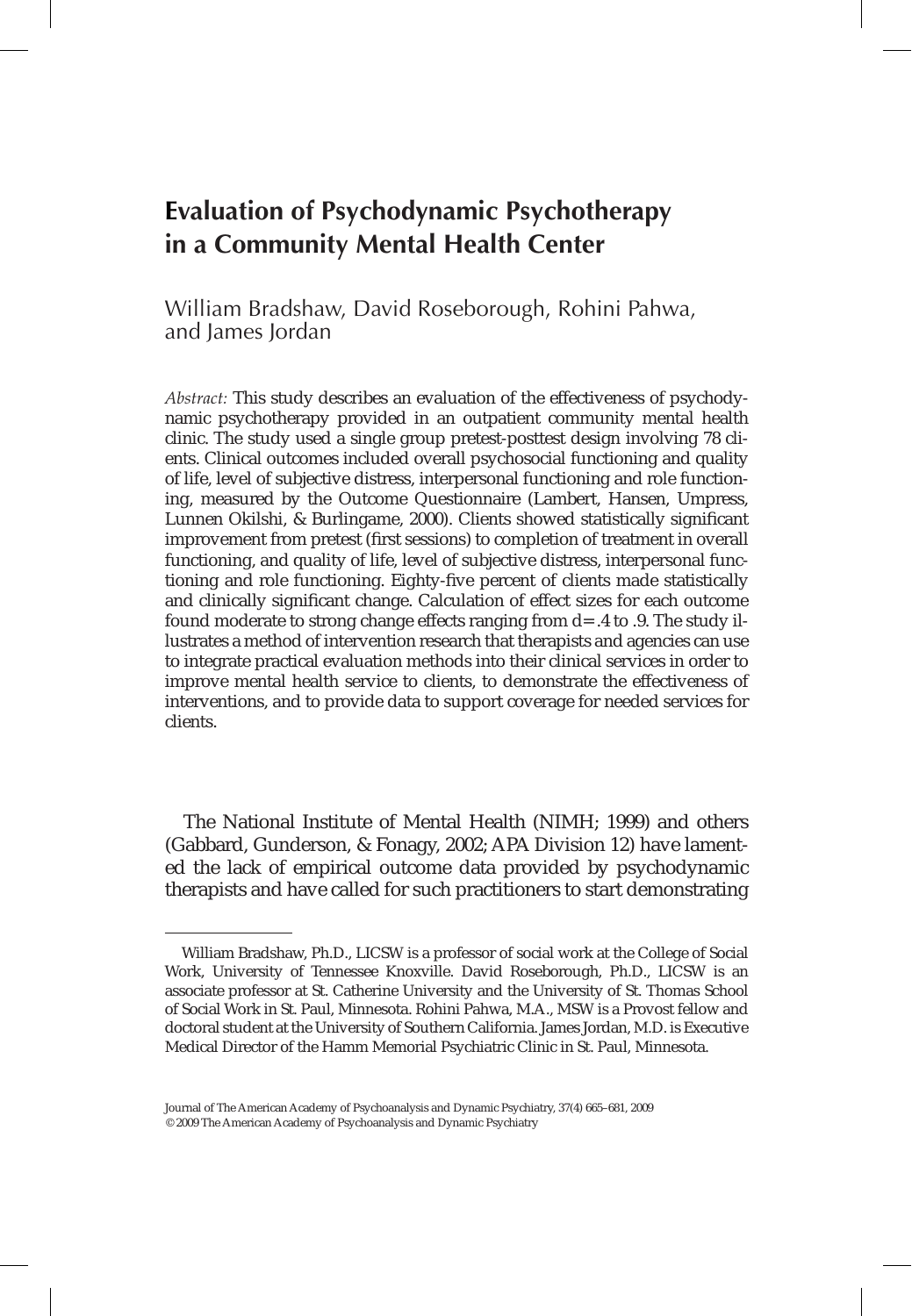# **Evaluation of Psychodynamic Psychotherapy in a Community Mental Health Center**

William Bradshaw, David Roseborough, Rohini Pahwa, and James Jordan

*Abstract:* This study describes an evaluation of the effectiveness of psychodynamic psychotherapy provided in an outpatient community mental health clinic. The study used a single group pretest-posttest design involving 78 clients. Clinical outcomes included overall psychosocial functioning and quality of life, level of subjective distress, interpersonal functioning and role functioning, measured by the Outcome Questionnaire (Lambert, Hansen, Umpress, Lunnen Okilshi, & Burlingame, 2000). Clients showed statistically significant improvement from pretest (first sessions) to completion of treatment in overall functioning, and quality of life, level of subjective distress, interpersonal functioning and role functioning. Eighty-five percent of clients made statistically and clinically significant change. Calculation of effect sizes for each outcome found moderate to strong change effects ranging from d= .4 to .9. The study illustrates a method of intervention research that therapists and agencies can use to integrate practical evaluation methods into their clinical services in order to improve mental health service to clients, to demonstrate the effectiveness of interventions, and to provide data to support coverage for needed services for clients.

The National Institute of Mental Health (NIMH; 1999) and others (Gabbard, Gunderson, & Fonagy, 2002; APA Division 12) have lamented the lack of empirical outcome data provided by psychodynamic therapists and have called for such practitioners to start demonstrating

William Bradshaw, Ph.D., LICSW is a professor of social work at the College of Social Work, University of Tennessee Knoxville. David Roseborough, Ph.D., LICSW is an associate professor at St. Catherine University and the University of St. Thomas School of Social Work in St. Paul, Minnesota. Rohini Pahwa, M.A., MSW is a Provost fellow and doctoral student at the University of Southern California. James Jordan, M.D. is Executive Medical Director of the Hamm Memorial Psychiatric Clinic in St. Paul, Minnesota.

Journal of The American Academy of Psychoanalysis and Dynamic Psychiatry, 37(4) 665–681, 2009 © 2009 The American Academy of Psychoanalysis and Dynamic Psychiatry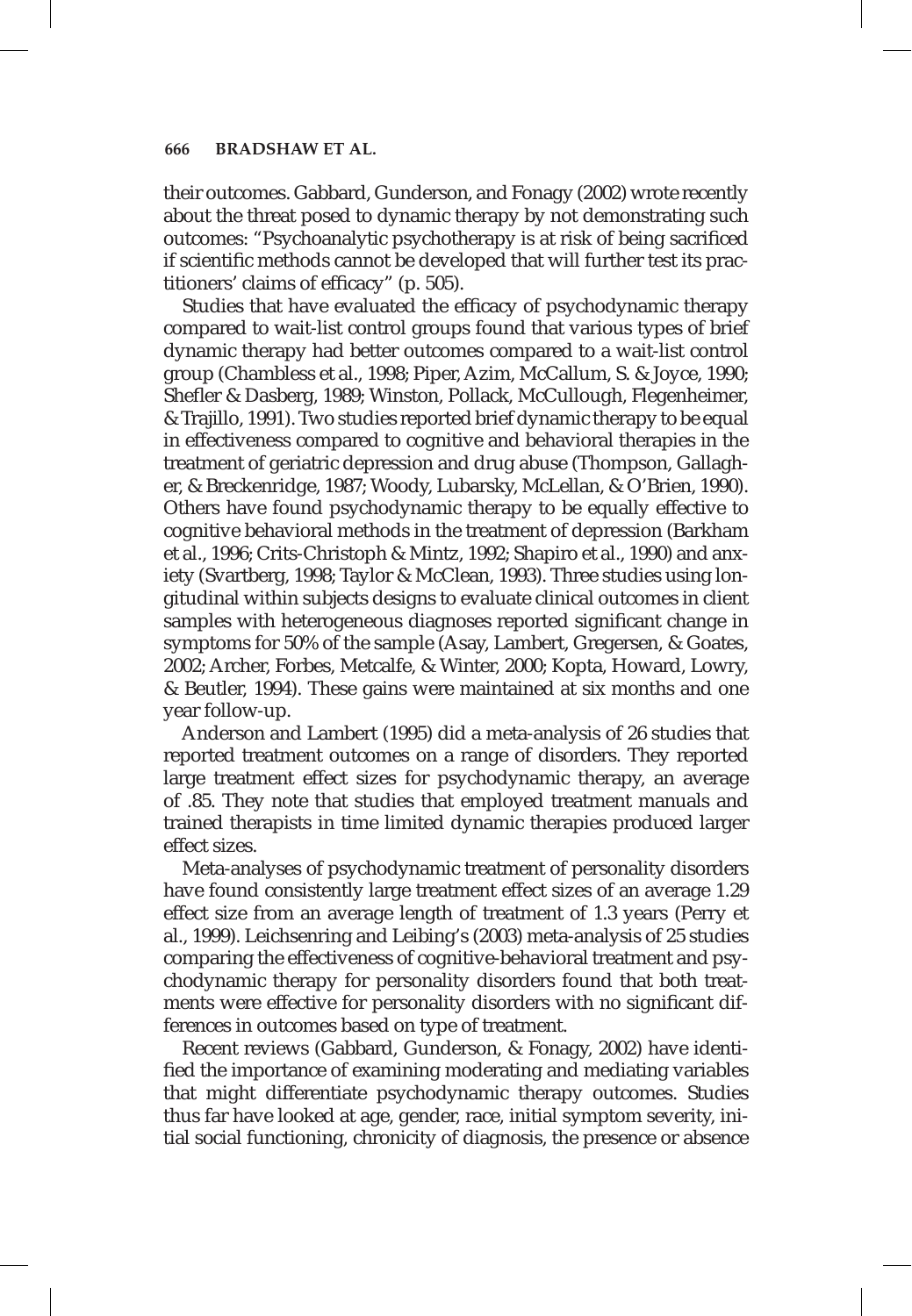their outcomes. Gabbard, Gunderson, and Fonagy (2002) wrote recently about the threat posed to dynamic therapy by not demonstrating such outcomes: "Psychoanalytic psychotherapy is at risk of being sacrificed if scientific methods cannot be developed that will further test its practitioners' claims of efficacy" (p. 505).

Studies that have evaluated the efficacy of psychodynamic therapy compared to wait-list control groups found that various types of brief dynamic therapy had better outcomes compared to a wait-list control group (Chambless et al., 1998; Piper, Azim, McCallum, S. & Joyce, 1990; Shefler & Dasberg, 1989; Winston, Pollack, McCullough, Flegenheimer, & Trajillo, 1991). Two studies reported brief dynamic therapy to be equal in effectiveness compared to cognitive and behavioral therapies in the treatment of geriatric depression and drug abuse (Thompson, Gallagher, & Breckenridge, 1987; Woody, Lubarsky, McLellan, & O'Brien, 1990). Others have found psychodynamic therapy to be equally effective to cognitive behavioral methods in the treatment of depression (Barkham et al., 1996; Crits-Christoph & Mintz, 1992; Shapiro et al., 1990) and anxiety (Svartberg, 1998; Taylor & McClean, 1993). Three studies using longitudinal within subjects designs to evaluate clinical outcomes in client samples with heterogeneous diagnoses reported significant change in symptoms for 50% of the sample (Asay, Lambert, Gregersen, & Goates, 2002; Archer, Forbes, Metcalfe, & Winter, 2000; Kopta, Howard, Lowry, & Beutler, 1994). These gains were maintained at six months and one year follow-up.

Anderson and Lambert (1995) did a meta-analysis of 26 studies that reported treatment outcomes on a range of disorders. They reported large treatment effect sizes for psychodynamic therapy, an average of .85. They note that studies that employed treatment manuals and trained therapists in time limited dynamic therapies produced larger effect sizes.

Meta-analyses of psychodynamic treatment of personality disorders have found consistently large treatment effect sizes of an average 1.29 effect size from an average length of treatment of 1.3 years (Perry et al., 1999). Leichsenring and Leibing's (2003) meta-analysis of 25 studies comparing the effectiveness of cognitive-behavioral treatment and psychodynamic therapy for personality disorders found that both treatments were effective for personality disorders with no significant differences in outcomes based on type of treatment.

Recent reviews (Gabbard, Gunderson, & Fonagy, 2002) have identified the importance of examining moderating and mediating variables that might differentiate psychodynamic therapy outcomes. Studies thus far have looked at age, gender, race, initial symptom severity, initial social functioning, chronicity of diagnosis, the presence or absence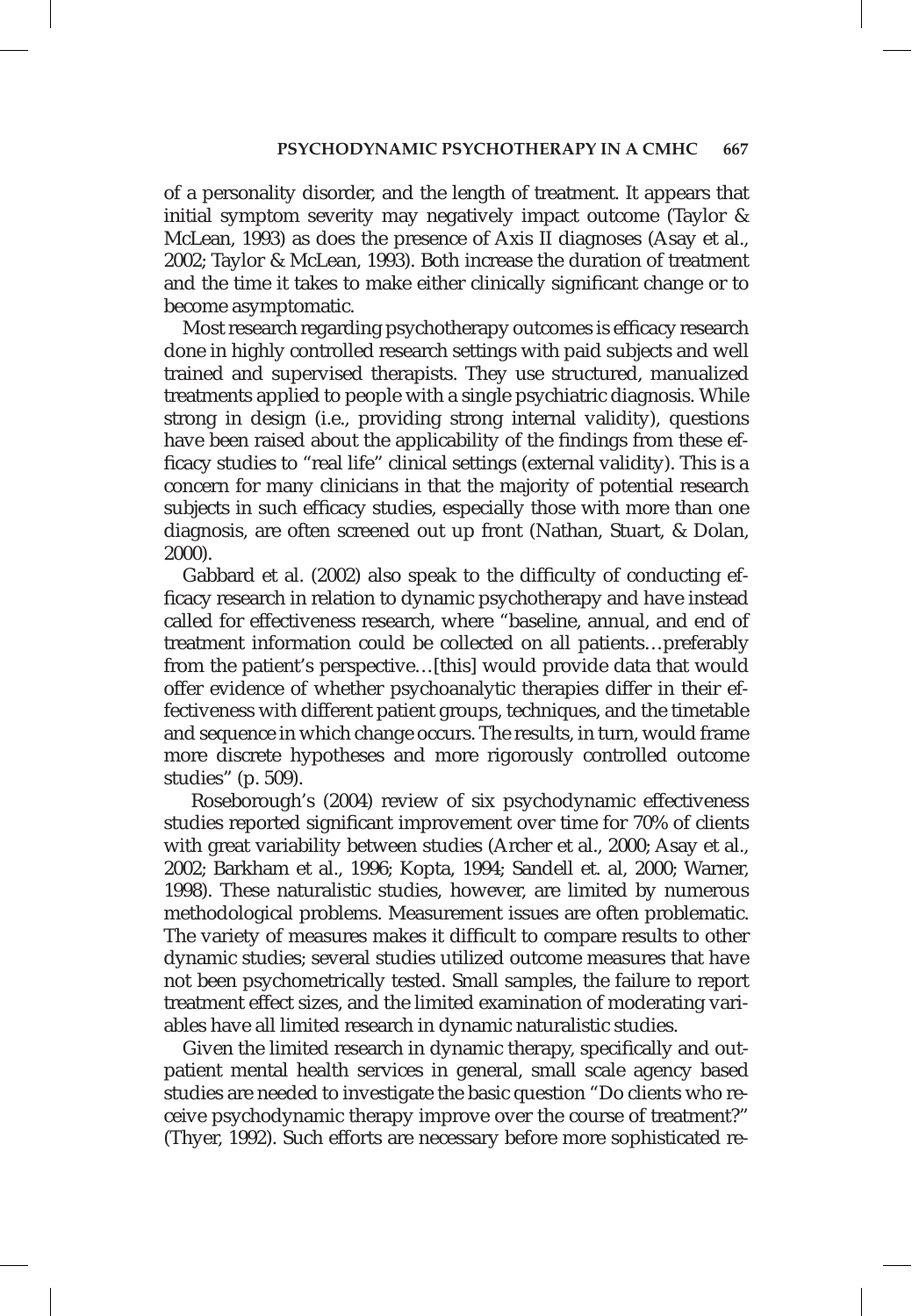of a personality disorder, and the length of treatment. It appears that initial symptom severity may negatively impact outcome (Taylor & McLean, 1993) as does the presence of Axis II diagnoses (Asay et al., 2002; Taylor & McLean, 1993). Both increase the duration of treatment and the time it takes to make either clinically significant change or to become asymptomatic.

Most research regarding psychotherapy outcomes is efficacy research done in highly controlled research settings with paid subjects and well trained and supervised therapists. They use structured, manualized treatments applied to people with a single psychiatric diagnosis. While strong in design (i.e., providing strong internal validity), questions have been raised about the applicability of the findings from these efficacy studies to "real life" clinical settings (external validity). This is a concern for many clinicians in that the majority of potential research subjects in such efficacy studies, especially those with more than one diagnosis, are often screened out up front (Nathan, Stuart, & Dolan, 2000).

Gabbard et al. (2002) also speak to the difficulty of conducting efficacy research in relation to dynamic psychotherapy and have instead called for effectiveness research, where "baseline, annual, and end of treatment information could be collected on all patients…preferably from the patient's perspective…[this] would provide data that would offer evidence of whether psychoanalytic therapies differ in their effectiveness with different patient groups, techniques, and the timetable and sequence in which change occurs. The results, in turn, would frame more discrete hypotheses and more rigorously controlled outcome studies" (p. 509).

 Roseborough's (2004) review of six psychodynamic effectiveness studies reported significant improvement over time for 70% of clients with great variability between studies (Archer et al., 2000; Asay et al., 2002; Barkham et al., 1996; Kopta, 1994; Sandell et. al, 2000; Warner, 1998). These naturalistic studies, however, are limited by numerous methodological problems. Measurement issues are often problematic. The variety of measures makes it difficult to compare results to other dynamic studies; several studies utilized outcome measures that have not been psychometrically tested. Small samples, the failure to report treatment effect sizes, and the limited examination of moderating variables have all limited research in dynamic naturalistic studies.

Given the limited research in dynamic therapy, specifically and outpatient mental health services in general, small scale agency based studies are needed to investigate the basic question "Do clients who receive psychodynamic therapy improve over the course of treatment?" (Thyer, 1992). Such efforts are necessary before more sophisticated re-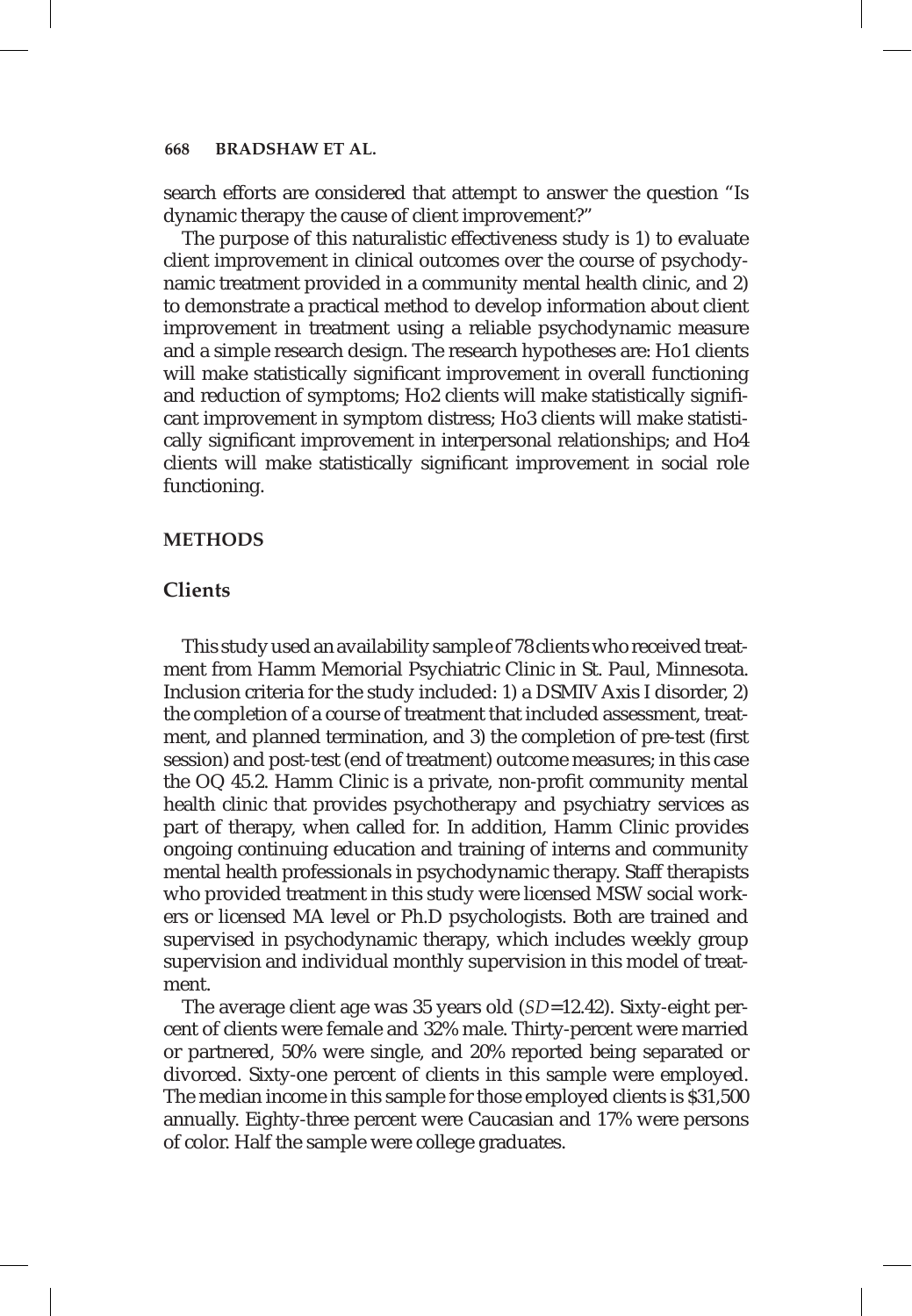search efforts are considered that attempt to answer the question "Is dynamic therapy the cause of client improvement?"

The purpose of this naturalistic effectiveness study is 1) to evaluate client improvement in clinical outcomes over the course of psychodynamic treatment provided in a community mental health clinic, and 2) to demonstrate a practical method to develop information about client improvement in treatment using a reliable psychodynamic measure and a simple research design. The research hypotheses are: Ho1 clients will make statistically significant improvement in overall functioning and reduction of symptoms; Ho2 clients will make statistically significant improvement in symptom distress; Ho3 clients will make statistically significant improvement in interpersonal relationships; and Ho4 clients will make statistically significant improvement in social role functioning.

## **Methods**

# **Clients**

This study used an availability sample of 78 clients who received treatment from Hamm Memorial Psychiatric Clinic in St. Paul, Minnesota. Inclusion criteria for the study included: 1) a DSMIV Axis I disorder, 2) the completion of a course of treatment that included assessment, treatment, and planned termination, and 3) the completion of pre-test (first session) and post-test (end of treatment) outcome measures; in this case the OQ 45.2. Hamm Clinic is a private, non-profit community mental health clinic that provides psychotherapy and psychiatry services as part of therapy, when called for. In addition, Hamm Clinic provides ongoing continuing education and training of interns and community mental health professionals in psychodynamic therapy. Staff therapists who provided treatment in this study were licensed MSW social workers or licensed MA level or Ph.D psychologists. Both are trained and supervised in psychodynamic therapy, which includes weekly group supervision and individual monthly supervision in this model of treatment.

The average client age was 35 years old (*SD*=12.42). Sixty-eight percent of clients were female and 32% male. Thirty-percent were married or partnered, 50% were single, and 20% reported being separated or divorced. Sixty-one percent of clients in this sample were employed. The median income in this sample for those employed clients is \$31,500 annually. Eighty-three percent were Caucasian and 17% were persons of color. Half the sample were college graduates.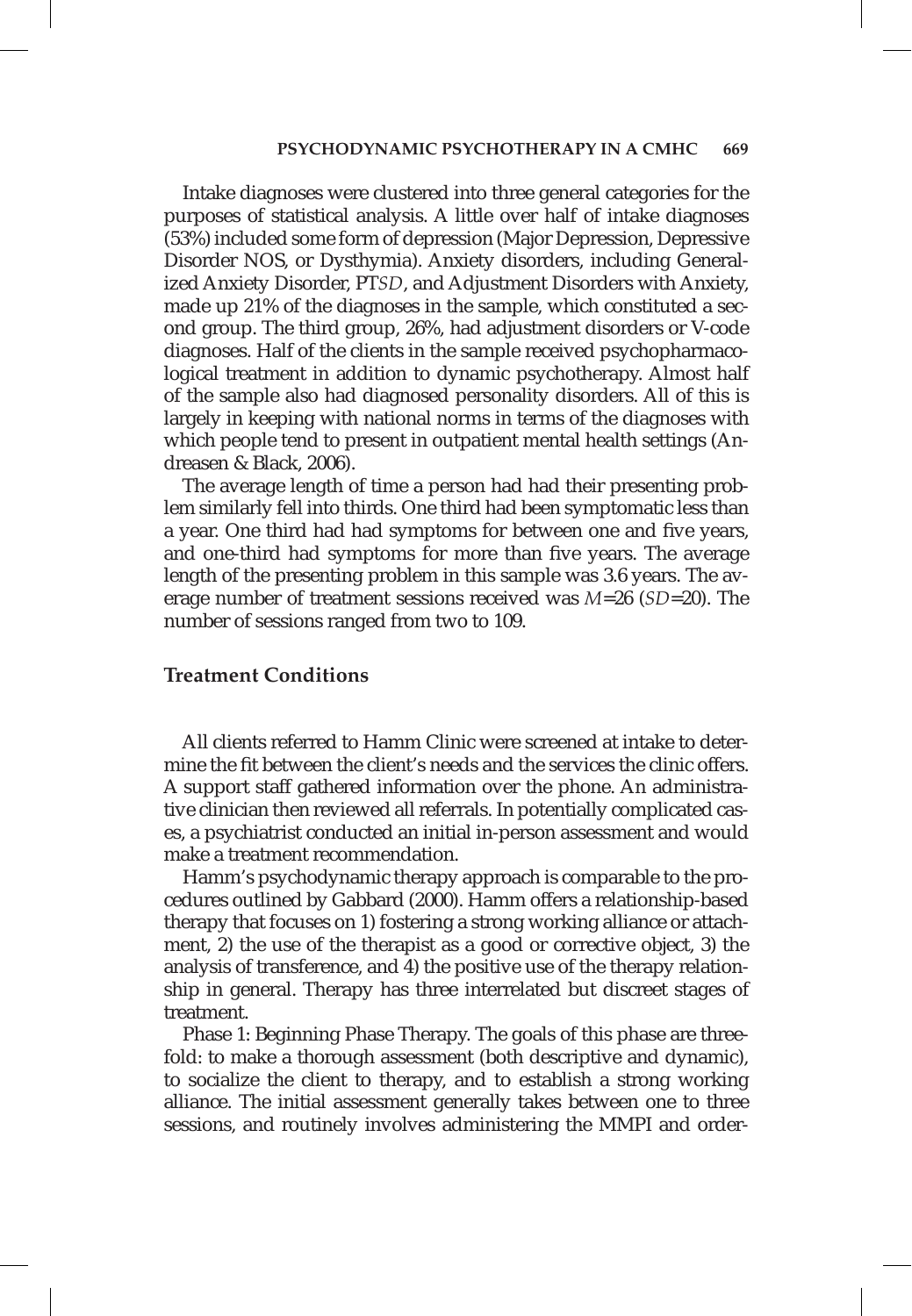#### **Psychodynamic Psychotherapy in a CMHC 669**

Intake diagnoses were clustered into three general categories for the purposes of statistical analysis. A little over half of intake diagnoses (53%) included some form of depression (Major Depression, Depressive Disorder NOS, or Dysthymia). Anxiety disorders, including Generalized Anxiety Disorder, PT*SD*, and Adjustment Disorders with Anxiety, made up 21% of the diagnoses in the sample, which constituted a second group. The third group, 26%, had adjustment disorders or V-code diagnoses. Half of the clients in the sample received psychopharmacological treatment in addition to dynamic psychotherapy. Almost half of the sample also had diagnosed personality disorders. All of this is largely in keeping with national norms in terms of the diagnoses with which people tend to present in outpatient mental health settings (Andreasen & Black, 2006).

The average length of time a person had had their presenting problem similarly fell into thirds. One third had been symptomatic less than a year. One third had had symptoms for between one and five years, and one-third had symptoms for more than five years. The average length of the presenting problem in this sample was 3.6 years. The average number of treatment sessions received was *M*=26 (*SD*=20). The number of sessions ranged from two to 109.

## **Treatment Conditions**

All clients referred to Hamm Clinic were screened at intake to determine the fit between the client's needs and the services the clinic offers. A support staff gathered information over the phone. An administrative clinician then reviewed all referrals. In potentially complicated cases, a psychiatrist conducted an initial in-person assessment and would make a treatment recommendation.

Hamm's psychodynamic therapy approach is comparable to the procedures outlined by Gabbard (2000). Hamm offers a relationship-based therapy that focuses on 1) fostering a strong working alliance or attachment, 2) the use of the therapist as a good or corrective object, 3) the analysis of transference, and 4) the positive use of the therapy relationship in general. Therapy has three interrelated but discreet stages of treatment.

Phase 1: Beginning Phase Therapy. The goals of this phase are threefold: to make a thorough assessment (both descriptive and dynamic), to socialize the client to therapy, and to establish a strong working alliance. The initial assessment generally takes between one to three sessions, and routinely involves administering the MMPI and order-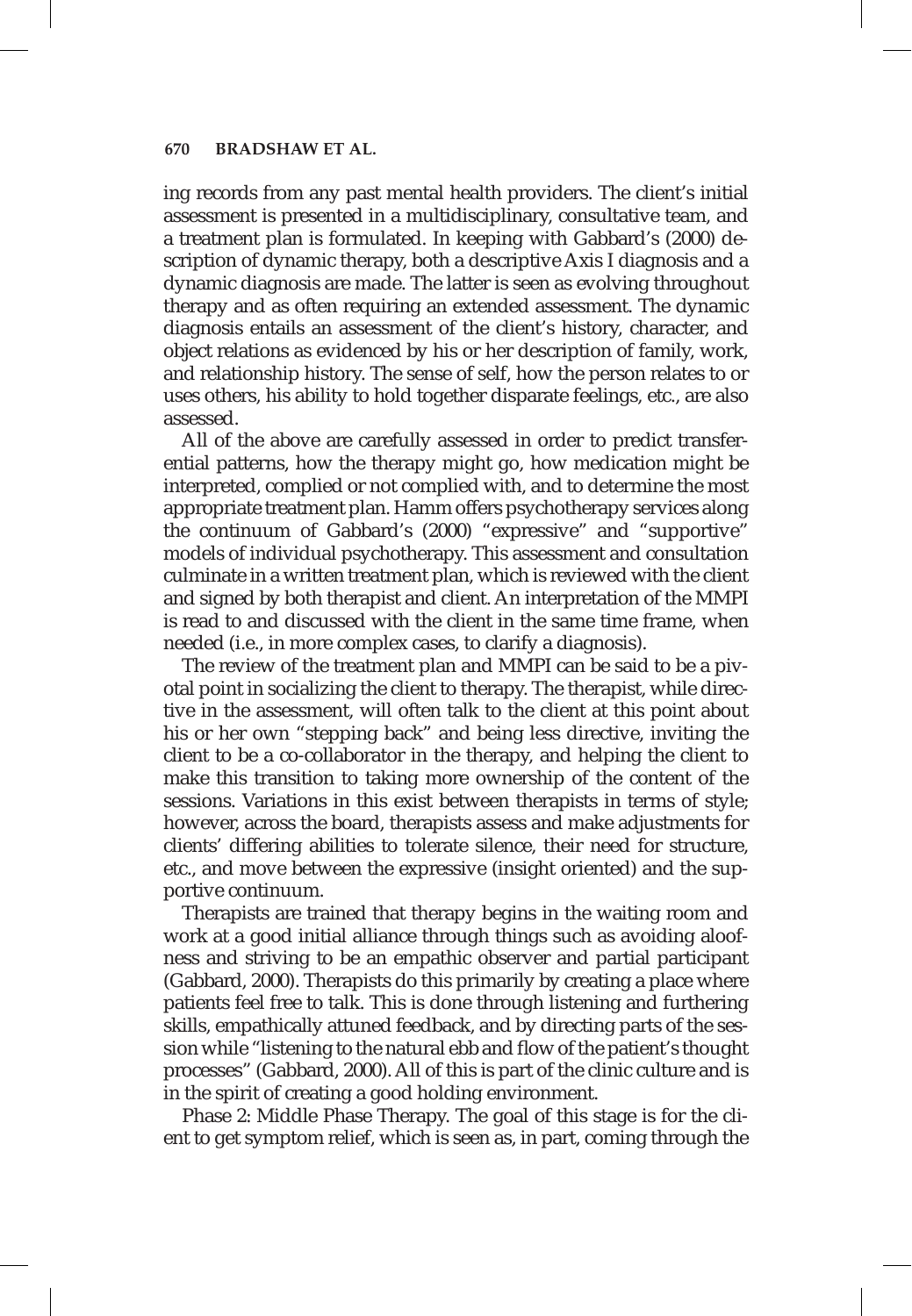ing records from any past mental health providers. The client's initial assessment is presented in a multidisciplinary, consultative team, and a treatment plan is formulated. In keeping with Gabbard's (2000) description of dynamic therapy, both a descriptive Axis I diagnosis and a dynamic diagnosis are made. The latter is seen as evolving throughout therapy and as often requiring an extended assessment. The dynamic diagnosis entails an assessment of the client's history, character, and object relations as evidenced by his or her description of family, work, and relationship history. The sense of self, how the person relates to or uses others, his ability to hold together disparate feelings, etc., are also assessed.

All of the above are carefully assessed in order to predict transferential patterns, how the therapy might go, how medication might be interpreted, complied or not complied with, and to determine the most appropriate treatment plan. Hamm offers psychotherapy services along the continuum of Gabbard's (2000) "expressive" and "supportive" models of individual psychotherapy. This assessment and consultation culminate in a written treatment plan, which is reviewed with the client and signed by both therapist and client. An interpretation of the MMPI is read to and discussed with the client in the same time frame, when needed (i.e., in more complex cases, to clarify a diagnosis).

The review of the treatment plan and MMPI can be said to be a pivotal point in socializing the client to therapy. The therapist, while directive in the assessment, will often talk to the client at this point about his or her own "stepping back" and being less directive, inviting the client to be a co-collaborator in the therapy, and helping the client to make this transition to taking more ownership of the content of the sessions. Variations in this exist between therapists in terms of style; however, across the board, therapists assess and make adjustments for clients' differing abilities to tolerate silence, their need for structure, etc., and move between the expressive (insight oriented) and the supportive continuum.

Therapists are trained that therapy begins in the waiting room and work at a good initial alliance through things such as avoiding aloofness and striving to be an empathic observer and partial participant (Gabbard, 2000). Therapists do this primarily by creating a place where patients feel free to talk. This is done through listening and furthering skills, empathically attuned feedback, and by directing parts of the session while "listening to the natural ebb and flow of the patient's thought processes" (Gabbard, 2000). All of this is part of the clinic culture and is in the spirit of creating a good holding environment.

Phase 2: Middle Phase Therapy. The goal of this stage is for the client to get symptom relief, which is seen as, in part, coming through the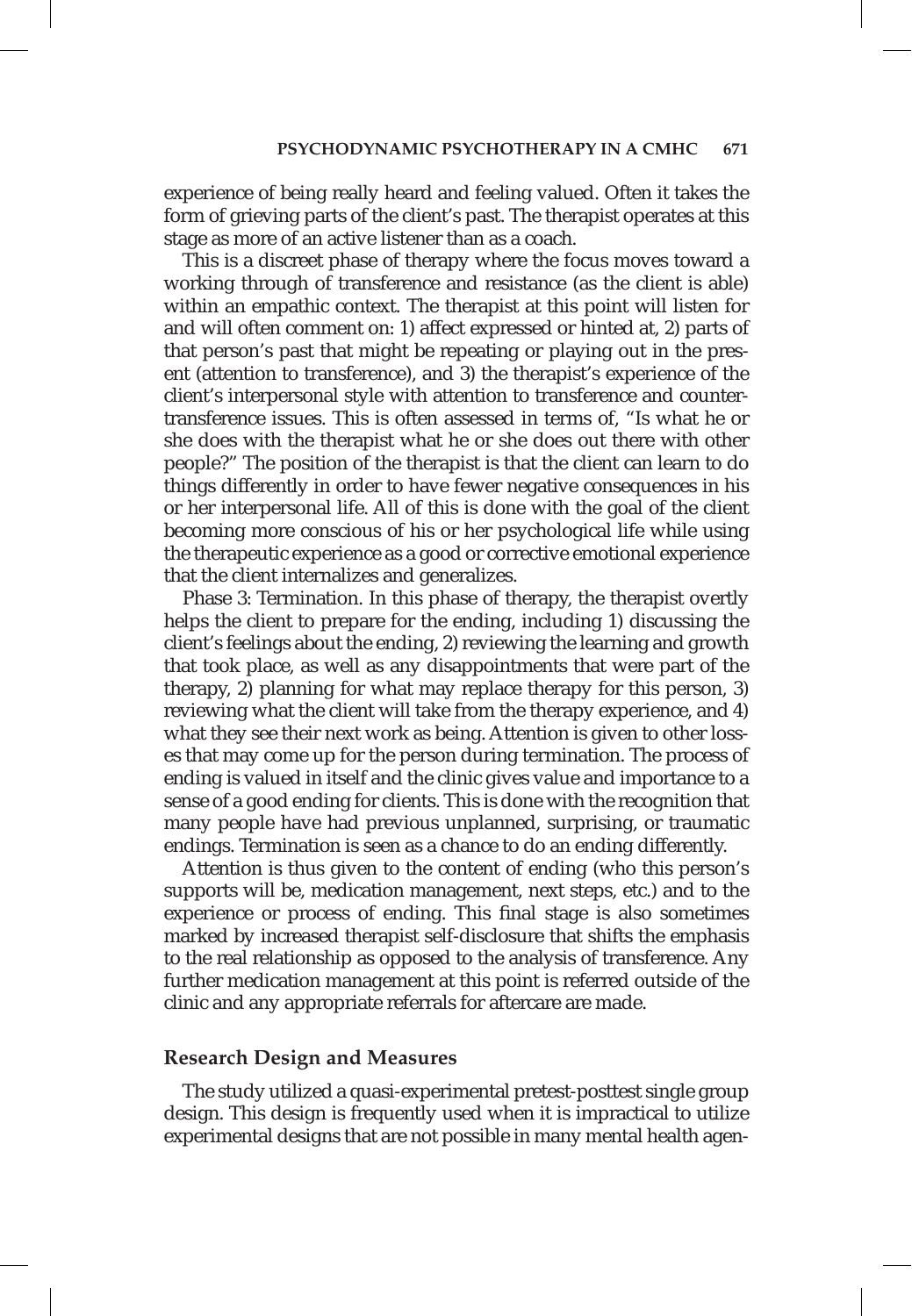experience of being really heard and feeling valued. Often it takes the form of grieving parts of the client's past. The therapist operates at this stage as more of an active listener than as a coach.

This is a discreet phase of therapy where the focus moves toward a working through of transference and resistance (as the client is able) within an empathic context. The therapist at this point will listen for and will often comment on: 1) affect expressed or hinted at, 2) parts of that person's past that might be repeating or playing out in the present (attention to transference), and 3) the therapist's experience of the client's interpersonal style with attention to transference and countertransference issues. This is often assessed in terms of, "Is what he or she does with the therapist what he or she does out there with other people?" The position of the therapist is that the client can learn to do things differently in order to have fewer negative consequences in his or her interpersonal life. All of this is done with the goal of the client becoming more conscious of his or her psychological life while using the therapeutic experience as a good or corrective emotional experience that the client internalizes and generalizes.

Phase 3: Termination. In this phase of therapy, the therapist overtly helps the client to prepare for the ending, including 1) discussing the client's feelings about the ending, 2) reviewing the learning and growth that took place, as well as any disappointments that were part of the therapy, 2) planning for what may replace therapy for this person, 3) reviewing what the client will take from the therapy experience, and 4) what they see their next work as being. Attention is given to other losses that may come up for the person during termination. The process of ending is valued in itself and the clinic gives value and importance to a sense of a good ending for clients. This is done with the recognition that many people have had previous unplanned, surprising, or traumatic endings. Termination is seen as a chance to do an ending differently.

Attention is thus given to the content of ending (who this person's supports will be, medication management, next steps, etc.) and to the experience or process of ending. This final stage is also sometimes marked by increased therapist self-disclosure that shifts the emphasis to the real relationship as opposed to the analysis of transference. Any further medication management at this point is referred outside of the clinic and any appropriate referrals for aftercare are made.

## **Research Design and Measures**

The study utilized a quasi-experimental pretest-posttest single group design. This design is frequently used when it is impractical to utilize experimental designs that are not possible in many mental health agen-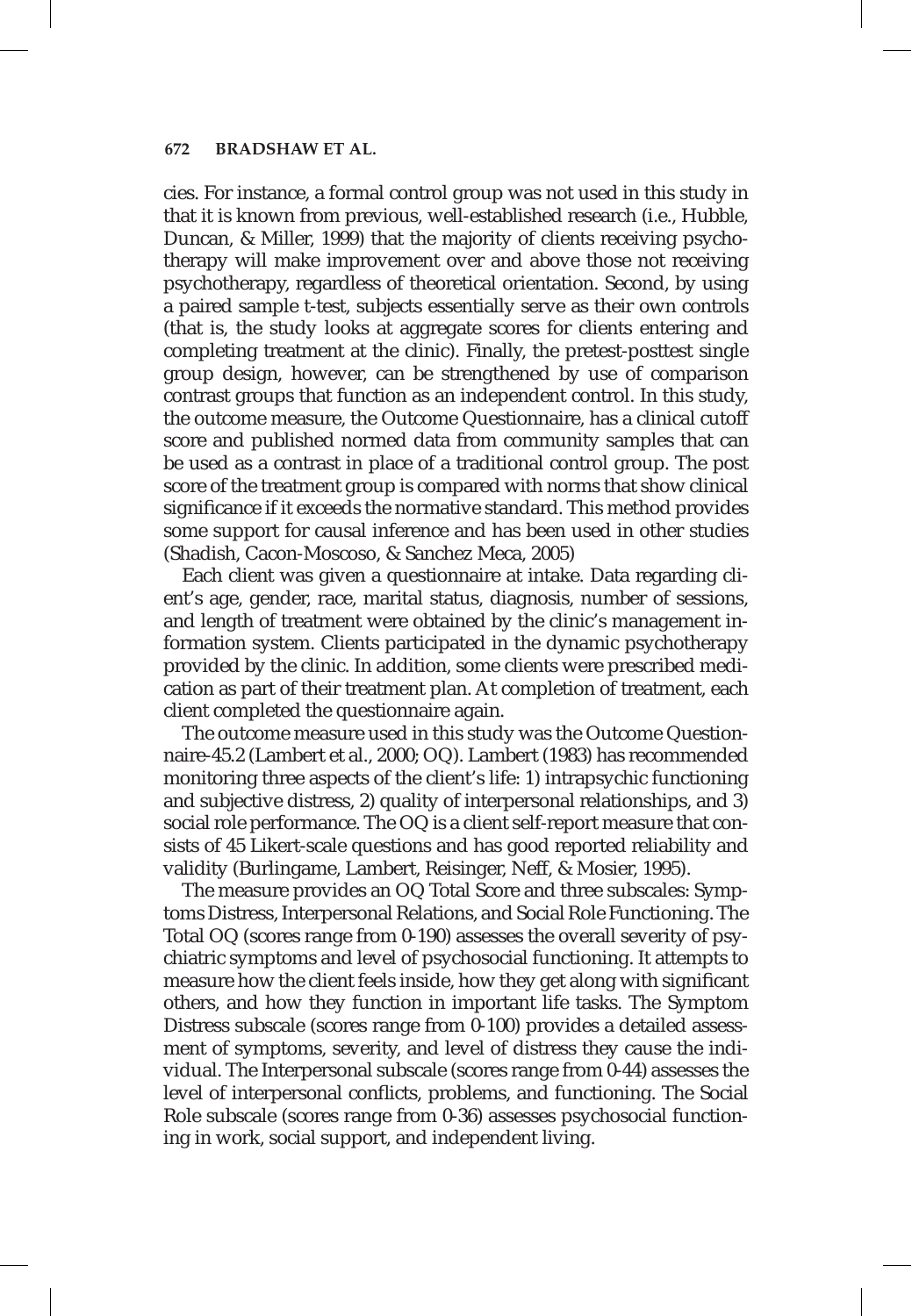cies. For instance, a formal control group was not used in this study in that it is known from previous, well-established research (i.e., Hubble, Duncan, & Miller, 1999) that the majority of clients receiving psychotherapy will make improvement over and above those not receiving psychotherapy, regardless of theoretical orientation. Second, by using a paired sample t-test, subjects essentially serve as their own controls (that is, the study looks at aggregate scores for clients entering and completing treatment at the clinic). Finally, the pretest-posttest single group design, however, can be strengthened by use of comparison contrast groups that function as an independent control. In this study, the outcome measure, the Outcome Questionnaire, has a clinical cutoff score and published normed data from community samples that can be used as a contrast in place of a traditional control group. The post score of the treatment group is compared with norms that show clinical significance if it exceeds the normative standard. This method provides some support for causal inference and has been used in other studies (Shadish, Cacon-Moscoso, & Sanchez Meca, 2005)

Each client was given a questionnaire at intake. Data regarding client's age, gender, race, marital status, diagnosis, number of sessions, and length of treatment were obtained by the clinic's management information system. Clients participated in the dynamic psychotherapy provided by the clinic. In addition, some clients were prescribed medication as part of their treatment plan. At completion of treatment, each client completed the questionnaire again.

The outcome measure used in this study was the Outcome Questionnaire-45.2 (Lambert et al., 2000; OQ). Lambert (1983) has recommended monitoring three aspects of the client's life: 1) intrapsychic functioning and subjective distress, 2) quality of interpersonal relationships, and 3) social role performance. The OQ is a client self-report measure that consists of 45 Likert-scale questions and has good reported reliability and validity (Burlingame, Lambert, Reisinger, Neff, & Mosier, 1995).

The measure provides an OQ Total Score and three subscales: Symptoms Distress, Interpersonal Relations, and Social Role Functioning. The Total OQ (scores range from 0-190) assesses the overall severity of psychiatric symptoms and level of psychosocial functioning. It attempts to measure how the client feels inside, how they get along with significant others, and how they function in important life tasks. The Symptom Distress subscale (scores range from 0-100) provides a detailed assessment of symptoms, severity, and level of distress they cause the individual. The Interpersonal subscale (scores range from 0-44) assesses the level of interpersonal conflicts, problems, and functioning. The Social Role subscale (scores range from 0-36) assesses psychosocial functioning in work, social support, and independent living.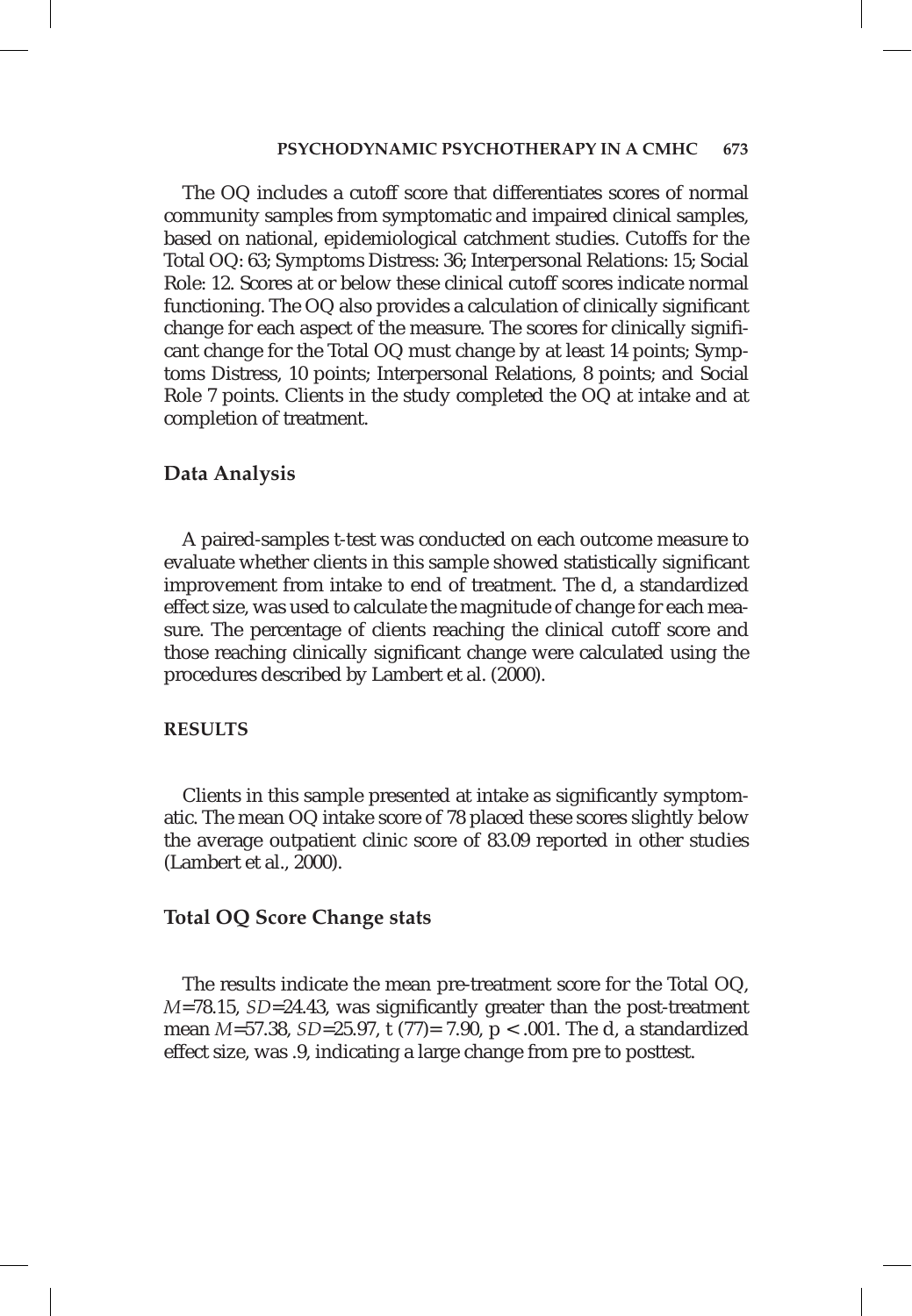#### **Psychodynamic Psychotherapy in a CMHC 673**

The OQ includes a cutoff score that differentiates scores of normal community samples from symptomatic and impaired clinical samples, based on national, epidemiological catchment studies. Cutoffs for the Total OQ: 63; Symptoms Distress: 36; Interpersonal Relations: 15; Social Role: 12. Scores at or below these clinical cutoff scores indicate normal functioning. The OQ also provides a calculation of clinically significant change for each aspect of the measure. The scores for clinically significant change for the Total OQ must change by at least 14 points; Symptoms Distress, 10 points; Interpersonal Relations, 8 points; and Social Role 7 points. Clients in the study completed the OQ at intake and at completion of treatment.

## **Data Analysis**

A paired-samples t-test was conducted on each outcome measure to evaluate whether clients in this sample showed statistically significant improvement from intake to end of treatment. The d, a standardized effect size, was used to calculate the magnitude of change for each measure. The percentage of clients reaching the clinical cutoff score and those reaching clinically significant change were calculated using the procedures described by Lambert et al. (2000).

## **Results**

Clients in this sample presented at intake as significantly symptomatic. The mean OQ intake score of 78 placed these scores slightly below the average outpatient clinic score of 83.09 reported in other studies (Lambert et al., 2000).

## **Total OQ Score Change stats**

The results indicate the mean pre-treatment score for the Total OQ, *M*=78.15, *SD*=24.43, was significantly greater than the post-treatment mean *M*=57.38, *SD*=25.97, t (77)= 7.90, p < .001. The d, a standardized effect size, was .9, indicating a large change from pre to posttest.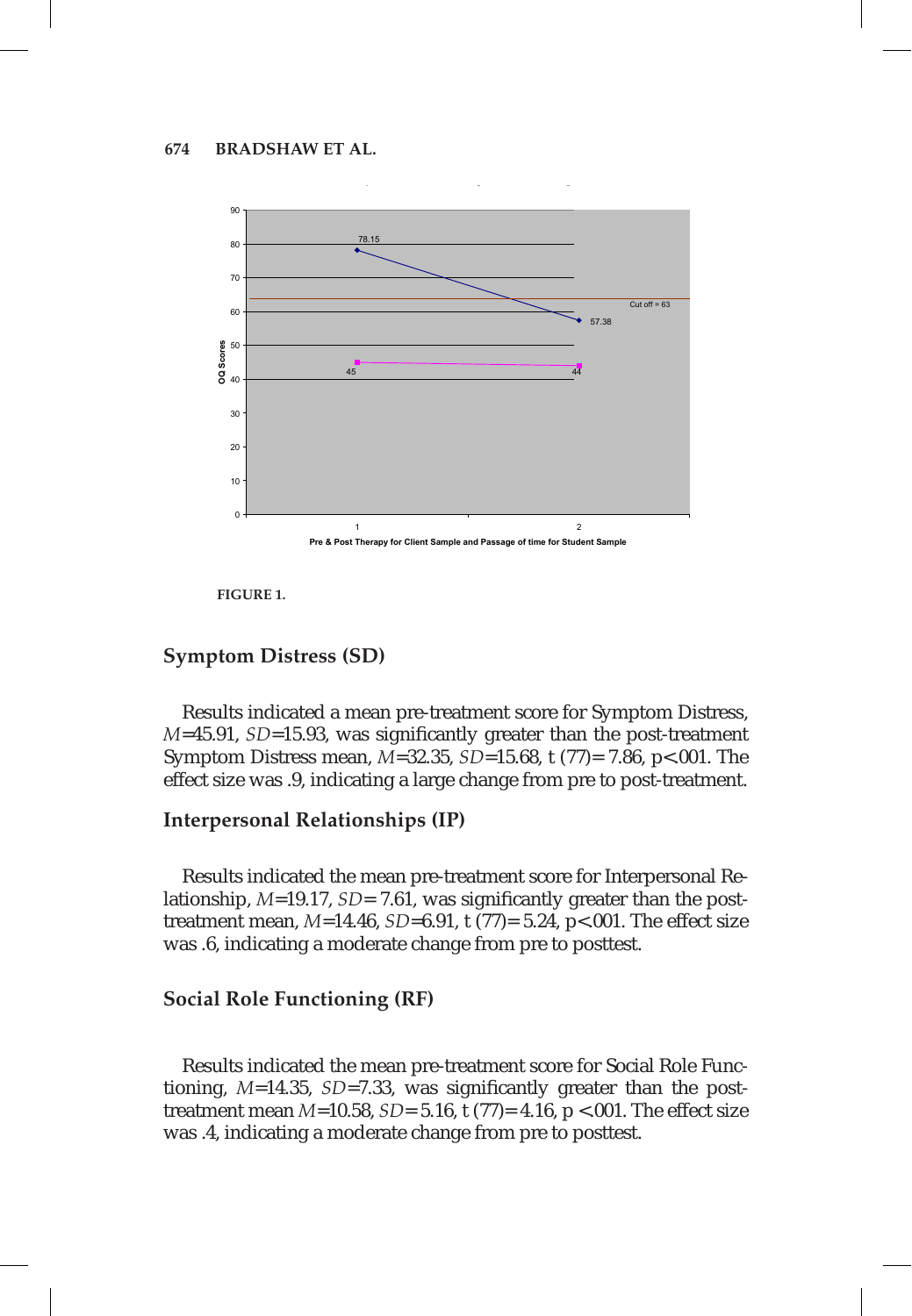

**FIGURE 1.**

# **Symptom Distress (SD)**

Results indicated a mean pre-treatment score for Symptom Distress, *M*=45.91, *SD*=15.93, was significantly greater than the post-treatment Symptom Distress mean, *M*=32.35, *SD*=15.68, t (77)= 7.86, p<.001. The effect size was .9, indicating a large change from pre to post-treatment.

# **Interpersonal Relationships (IP)**

Results indicated the mean pre-treatment score for Interpersonal Relationship, *M*=19.17, *SD*= 7.61, was significantly greater than the posttreatment mean, *M*=14.46, *SD*=6.91, t (77)= 5.24, p<.001. The effect size was .6, indicating a moderate change from pre to posttest.

## **Social Role Functioning (RF)**

Results indicated the mean pre-treatment score for Social Role Functioning, *M*=14.35, *SD*=7.33, was significantly greater than the posttreatment mean *M*=10.58, *SD*= 5.16, t (77)= 4.16, p <.001. The effect size was .4, indicating a moderate change from pre to posttest.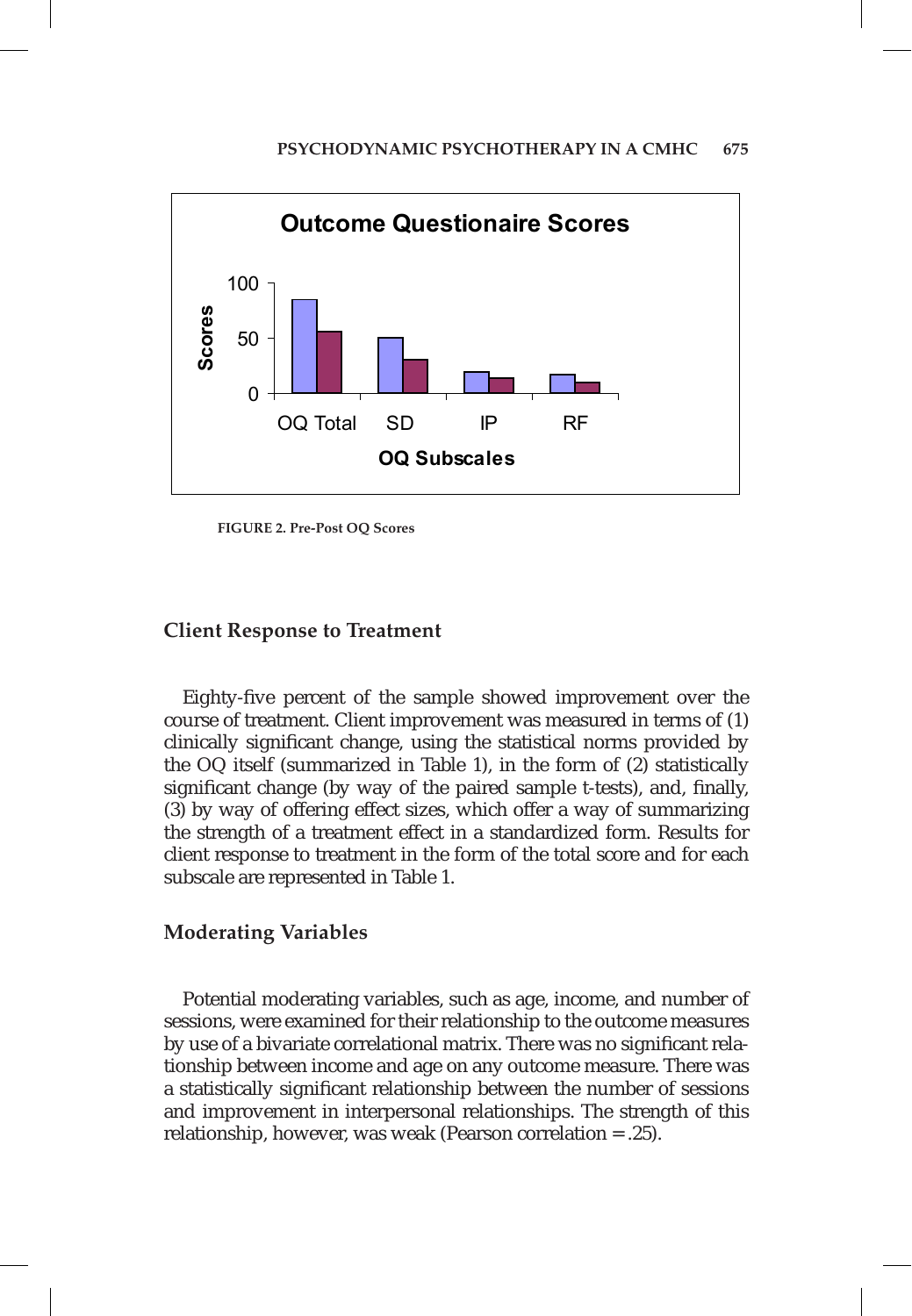

**FIGURE 2. Pre-Post OQ Scores**

## **Client Response to Treatment**

Eighty-five percent of the sample showed improvement over the course of treatment. Client improvement was measured in terms of (1) clinically significant change, using the statistical norms provided by the OQ itself (summarized in Table 1), in the form of (2) statistically significant change (by way of the paired sample t-tests), and, finally, (3) by way of offering effect sizes, which offer a way of summarizing the strength of a treatment effect in a standardized form. Results for client response to treatment in the form of the total score and for each subscale are represented in Table 1.

# **Moderating Variables**

Potential moderating variables, such as age, income, and number of sessions, were examined for their relationship to the outcome measures by use of a bivariate correlational matrix. There was no significant relationship between income and age on any outcome measure. There was a statistically significant relationship between the number of sessions and improvement in interpersonal relationships. The strength of this relationship, however, was weak (Pearson correlation = .25).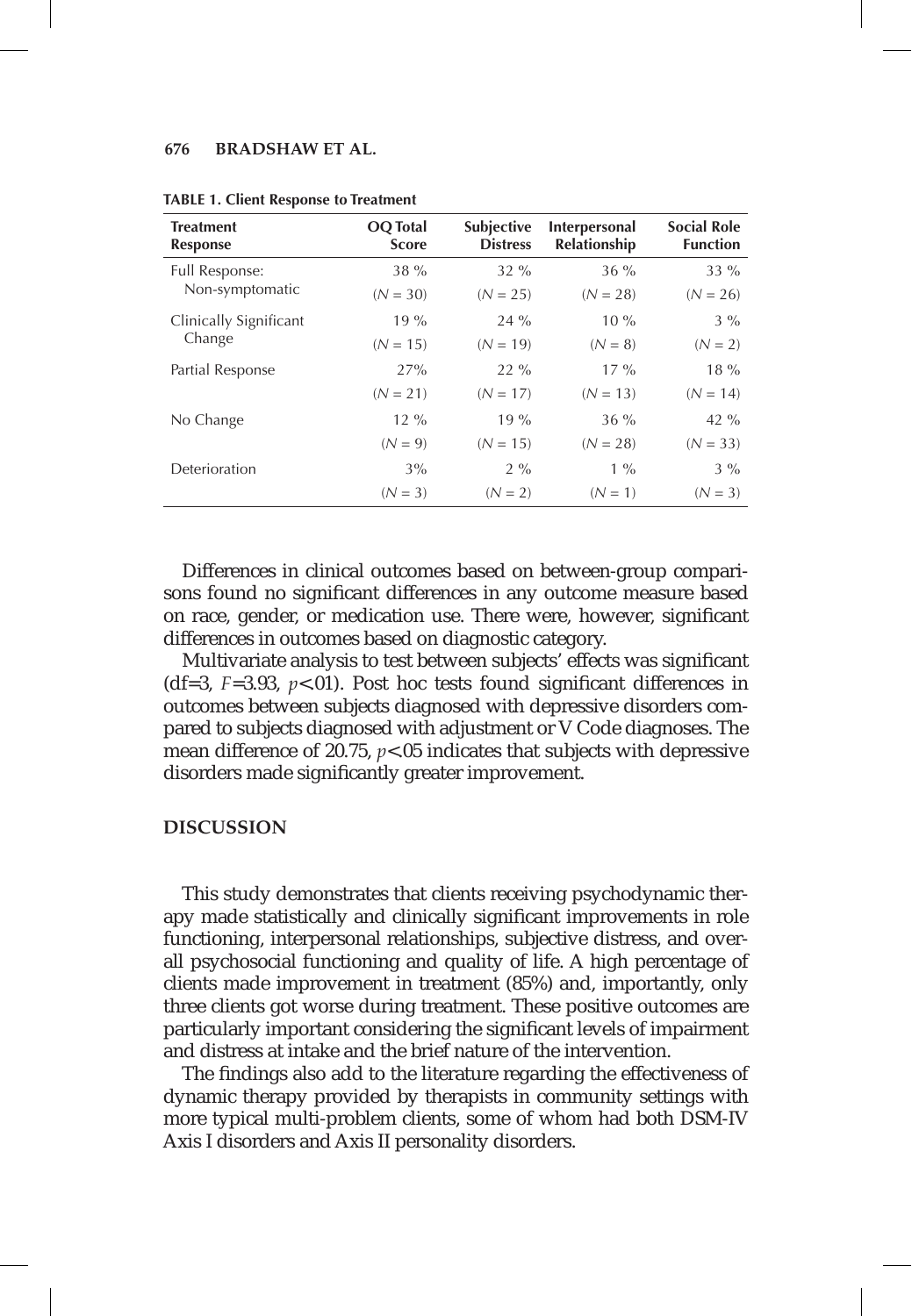| <b>Treatment</b><br><b>Response</b> | OO Total<br><b>Score</b> | <b>Subjective</b><br><b>Distress</b> | <b>Interpersonal</b><br>Relationship | <b>Social Role</b><br><b>Function</b> |
|-------------------------------------|--------------------------|--------------------------------------|--------------------------------------|---------------------------------------|
| Full Response:<br>Non-symptomatic   | 38 %                     | $32\%$                               | $36\%$                               | $33\%$                                |
|                                     | $(N = 30)$               | $(N = 25)$                           | $(N = 28)$                           | $(N = 26)$                            |
| Clinically Significant<br>Change    | $19\%$                   | 24 %                                 | $10\%$                               | $3\%$                                 |
|                                     | $(N = 15)$               | $(N = 19)$                           | $(N = 8)$                            | $(N = 2)$                             |
| Partial Response                    | 27%                      | $22\%$                               | $17\%$                               | 18 %                                  |
|                                     | $(N = 21)$               | $(N = 17)$                           | $(N = 13)$                           | $(N = 14)$                            |
| No Change                           | $12\%$                   | $19\%$                               | $36\%$                               | 42 $\%$                               |
|                                     | $(N = 9)$                | $(N = 15)$                           | $(N = 28)$                           | $(N = 33)$                            |
| Deterioration                       | 3%                       | $2\%$                                | $1\%$                                | $3\%$                                 |
|                                     | $(N = 3)$                | $(N = 2)$                            | $(N = 1)$                            | $(N = 3)$                             |

|  |  | <b>TABLE 1. Client Response to Treatment</b> |  |  |  |
|--|--|----------------------------------------------|--|--|--|
|--|--|----------------------------------------------|--|--|--|

Differences in clinical outcomes based on between-group comparisons found no significant differences in any outcome measure based on race, gender, or medication use. There were, however, significant differences in outcomes based on diagnostic category.

Multivariate analysis to test between subjects' effects was significant (df=3,  $F=3.93$ ,  $p<.01$ ). Post hoc tests found significant differences in outcomes between subjects diagnosed with depressive disorders compared to subjects diagnosed with adjustment or V Code diagnoses. The mean difference of 20.75,  $p<0.05$  indicates that subjects with depressive disorders made significantly greater improvement.

### **Discussion**

This study demonstrates that clients receiving psychodynamic therapy made statistically and clinically significant improvements in role functioning, interpersonal relationships, subjective distress, and overall psychosocial functioning and quality of life. A high percentage of clients made improvement in treatment (85%) and, importantly, only three clients got worse during treatment. These positive outcomes are particularly important considering the significant levels of impairment and distress at intake and the brief nature of the intervention.

The findings also add to the literature regarding the effectiveness of dynamic therapy provided by therapists in community settings with more typical multi-problem clients, some of whom had both DSM-IV Axis I disorders and Axis II personality disorders.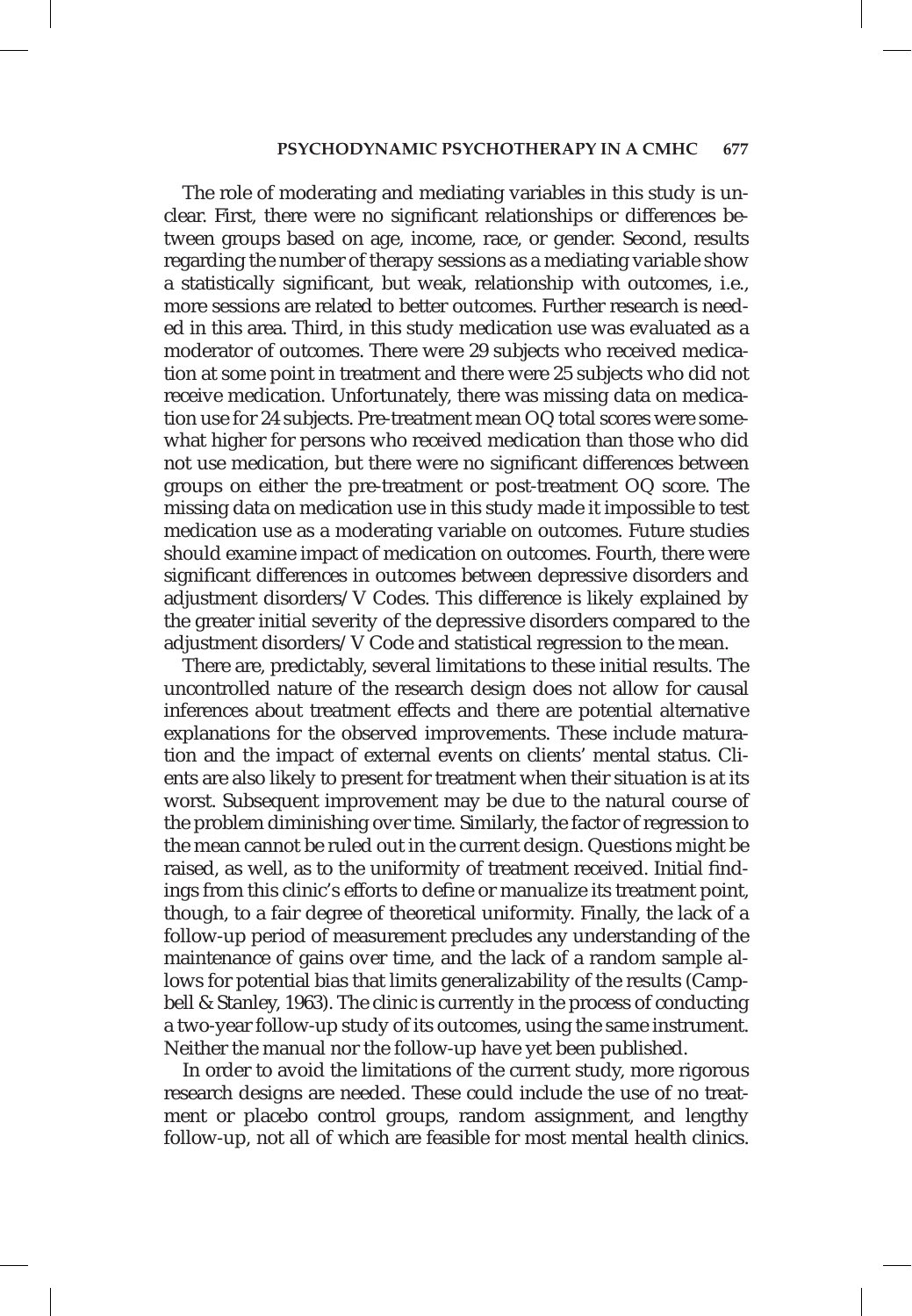## **Psychodynamic Psychotherapy in a CMHC 677**

The role of moderating and mediating variables in this study is unclear. First, there were no significant relationships or differences between groups based on age, income, race, or gender. Second, results regarding the number of therapy sessions as a mediating variable show a statistically significant, but weak, relationship with outcomes, i.e., more sessions are related to better outcomes. Further research is needed in this area. Third, in this study medication use was evaluated as a moderator of outcomes. There were 29 subjects who received medication at some point in treatment and there were 25 subjects who did not receive medication. Unfortunately, there was missing data on medication use for 24 subjects. Pre-treatment mean OQ total scores were somewhat higher for persons who received medication than those who did not use medication, but there were no significant differences between groups on either the pre-treatment or post-treatment OQ score. The missing data on medication use in this study made it impossible to test medication use as a moderating variable on outcomes. Future studies should examine impact of medication on outcomes. Fourth, there were significant differences in outcomes between depressive disorders and adjustment disorders/V Codes. This difference is likely explained by the greater initial severity of the depressive disorders compared to the adjustment disorders/V Code and statistical regression to the mean.

There are, predictably, several limitations to these initial results. The uncontrolled nature of the research design does not allow for causal inferences about treatment effects and there are potential alternative explanations for the observed improvements. These include maturation and the impact of external events on clients' mental status. Clients are also likely to present for treatment when their situation is at its worst. Subsequent improvement may be due to the natural course of the problem diminishing over time. Similarly, the factor of regression to the mean cannot be ruled out in the current design. Questions might be raised, as well, as to the uniformity of treatment received. Initial findings from this clinic's efforts to define or manualize its treatment point, though, to a fair degree of theoretical uniformity. Finally, the lack of a follow-up period of measurement precludes any understanding of the maintenance of gains over time, and the lack of a random sample allows for potential bias that limits generalizability of the results (Campbell & Stanley, 1963). The clinic is currently in the process of conducting a two-year follow-up study of its outcomes, using the same instrument. Neither the manual nor the follow-up have yet been published.

In order to avoid the limitations of the current study, more rigorous research designs are needed. These could include the use of no treatment or placebo control groups, random assignment, and lengthy follow-up, not all of which are feasible for most mental health clinics.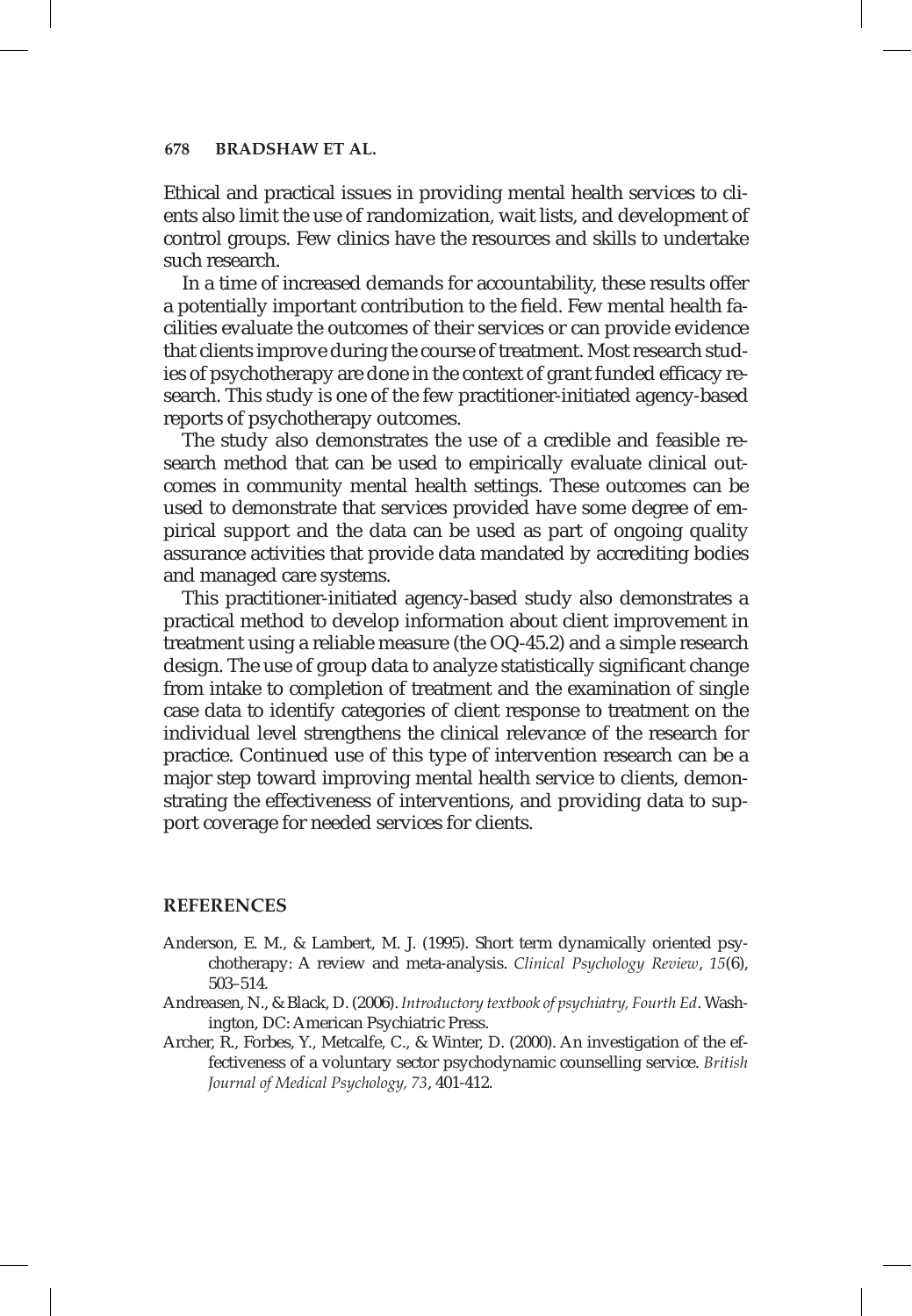Ethical and practical issues in providing mental health services to clients also limit the use of randomization, wait lists, and development of control groups. Few clinics have the resources and skills to undertake such research.

In a time of increased demands for accountability, these results offer a potentially important contribution to the field. Few mental health facilities evaluate the outcomes of their services or can provide evidence that clients improve during the course of treatment. Most research studies of psychotherapy are done in the context of grant funded efficacy research. This study is one of the few practitioner-initiated agency-based reports of psychotherapy outcomes.

The study also demonstrates the use of a credible and feasible research method that can be used to empirically evaluate clinical outcomes in community mental health settings. These outcomes can be used to demonstrate that services provided have some degree of empirical support and the data can be used as part of ongoing quality assurance activities that provide data mandated by accrediting bodies and managed care systems.

This practitioner-initiated agency-based study also demonstrates a practical method to develop information about client improvement in treatment using a reliable measure (the OQ-45.2) and a simple research design. The use of group data to analyze statistically significant change from intake to completion of treatment and the examination of single case data to identify categories of client response to treatment on the individual level strengthens the clinical relevance of the research for practice. Continued use of this type of intervention research can be a major step toward improving mental health service to clients, demonstrating the effectiveness of interventions, and providing data to support coverage for needed services for clients.

## **References**

- Anderson, E. M., & Lambert, M. J. (1995). Short term dynamically oriented psychotherapy: A review and meta-analysis. *Clinical Psychology Review*, *15*(6), 503–514.
- Andreasen, N., & Black, D. (2006). *Introductory textbook of psychiatry, Fourth Ed*. Washington, DC: American Psychiatric Press.
- Archer, R., Forbes, Y., Metcalfe, C., & Winter, D. (2000). An investigation of the effectiveness of a voluntary sector psychodynamic counselling service. *British Journal of Medical Psychology, 73*, 401-412.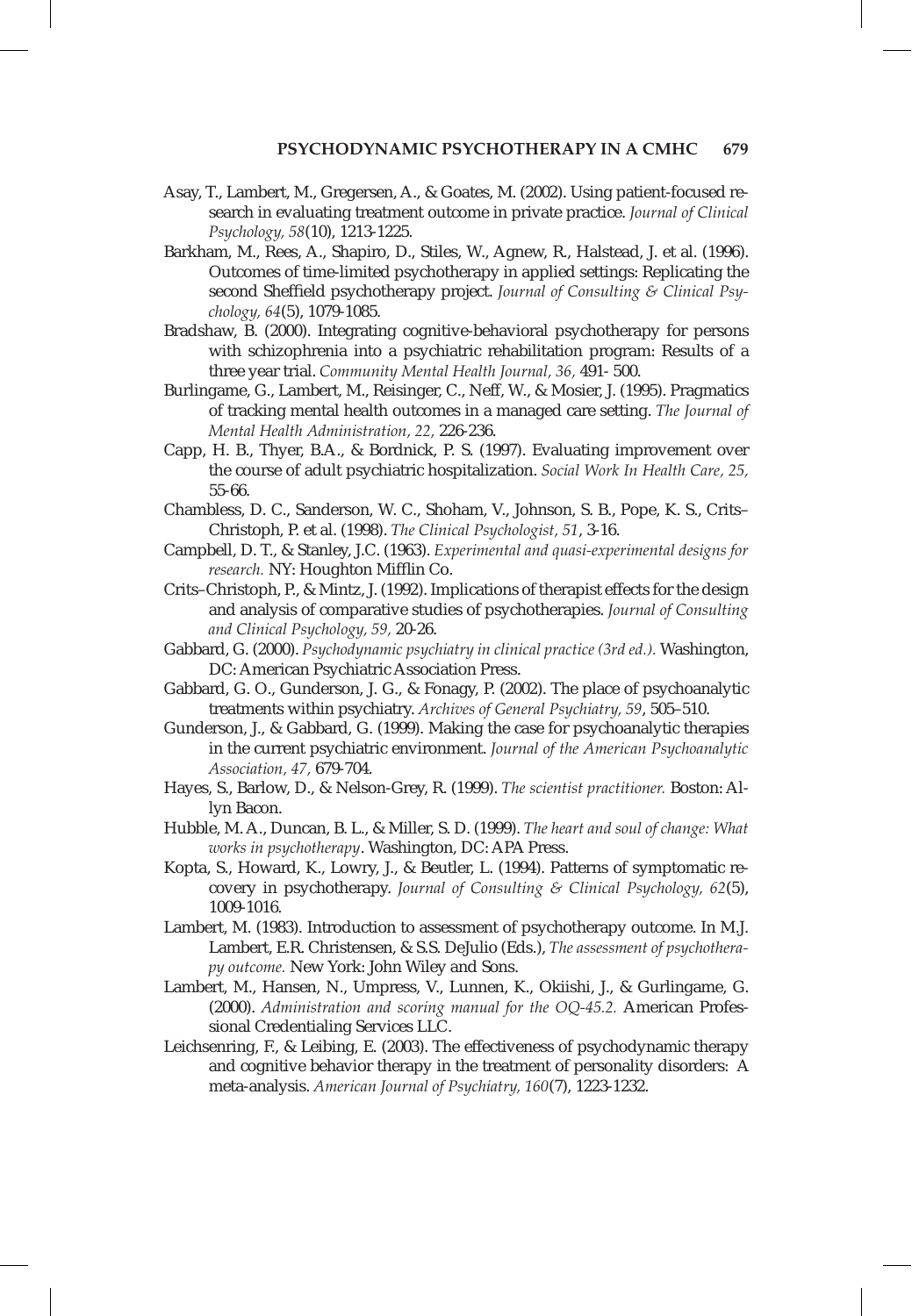- Asay, T., Lambert, M., Gregersen, A., & Goates, M. (2002). Using patient-focused research in evaluating treatment outcome in private practice. *Journal of Clinical Psychology, 58*(10), 1213-1225.
- Barkham, M., Rees, A., Shapiro, D., Stiles, W., Agnew, R., Halstead, J. et al. (1996). Outcomes of time-limited psychotherapy in applied settings: Replicating the second Sheffield psychotherapy project. *Journal of Consulting & Clinical Psychology, 64*(5), 1079-1085.
- Bradshaw, B. (2000). Integrating cognitive-behavioral psychotherapy for persons with schizophrenia into a psychiatric rehabilitation program: Results of a three year trial. *Community Mental Health Journal, 36,* 491- 500.
- Burlingame, G., Lambert, M., Reisinger, C., Neff, W., & Mosier, J. (1995). Pragmatics of tracking mental health outcomes in a managed care setting. *The Journal of Mental Health Administration, 22,* 226-236.
- Capp, H. B., Thyer, B.A., & Bordnick, P. S. (1997). Evaluating improvement over the course of adult psychiatric hospitalization. *Social Work In Health Care, 25,* 55-66.
- Chambless, D. C., Sanderson, W. C., Shoham, V., Johnson, S. B., Pope, K. S., Crits– Christoph, P. et al. (1998). *The Clinical Psychologist, 51*, 3-16.
- Campbell, D. T., & Stanley, J.C. (1963). *Experimental and quasi-experimental designs for research.* NY: Houghton Mifflin Co.
- Crits–Christoph, P., & Mintz, J. (1992). Implications of therapist effects for the design and analysis of comparative studies of psychotherapies. *Journal of Consulting and Clinical Psychology, 59,* 20-26.
- Gabbard, G. (2000). *Psychodynamic psychiatry in clinical practice (3rd ed.).* Washington, DC: American Psychiatric Association Press.
- Gabbard, G. O., Gunderson, J. G., & Fonagy, P. (2002). The place of psychoanalytic treatments within psychiatry. *Archives of General Psychiatry, 59*, 505–510.
- Gunderson, J., & Gabbard, G. (1999). Making the case for psychoanalytic therapies in the current psychiatric environment. *Journal of the American Psychoanalytic Association, 47,* 679-704.
- Hayes, S., Barlow, D., & Nelson-Grey, R. (1999). *The scientist practitioner.* Boston: Allyn Bacon.
- Hubble, M. A., Duncan, B. L., & Miller, S. D. (1999). *The heart and soul of change: What works in psychotherapy*. Washington, DC: APA Press.
- Kopta, S., Howard, K., Lowry, J., & Beutler, L. (1994). Patterns of symptomatic recovery in psychotherapy. *Journal of Consulting & Clinical Psychology, 62*(5), 1009-1016.
- Lambert, M. (1983). Introduction to assessment of psychotherapy outcome. In M.J. Lambert, E.R. Christensen, & S.S. DeJulio (Eds.), *The assessment of psychotherapy outcome.* New York: John Wiley and Sons.
- Lambert, M., Hansen, N., Umpress, V., Lunnen, K., Okiishi, J., & Gurlingame, G. (2000). *Administration and scoring manual for the OQ-45.2.* American Professional Credentialing Services LLC.
- Leichsenring, F., & Leibing, E. (2003). The effectiveness of psychodynamic therapy and cognitive behavior therapy in the treatment of personality disorders: A meta-analysis. *American Journal of Psychiatry, 160*(7), 1223-1232.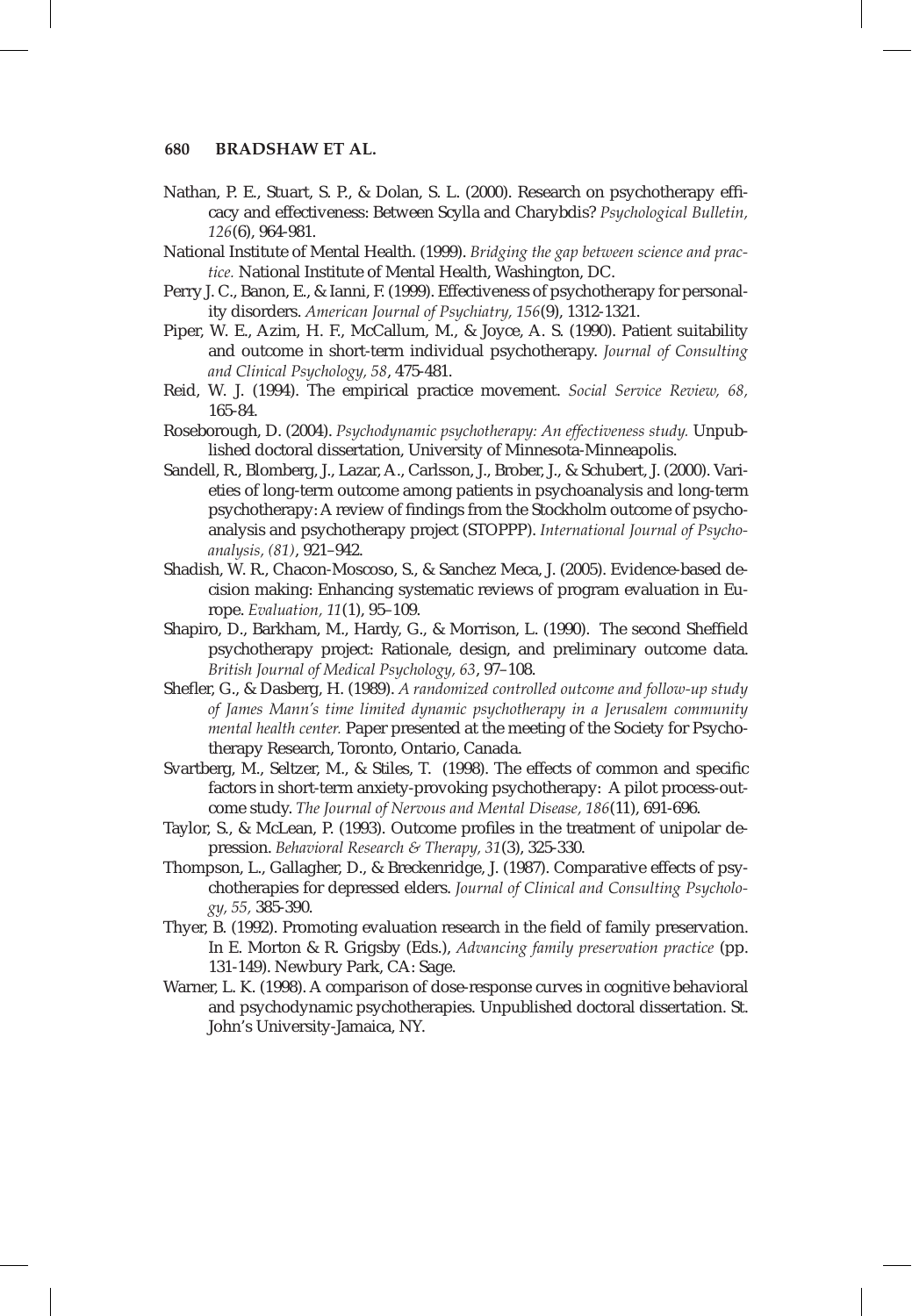- Nathan, P. E., Stuart, S. P., & Dolan, S. L. (2000). Research on psychotherapy efficacy and effectiveness: Between Scylla and Charybdis? *Psychological Bulletin, 126*(6), 964-981.
- National Institute of Mental Health. (1999). *Bridging the gap between science and practice.* National Institute of Mental Health, Washington, DC.
- Perry J. C., Banon, E., & Ianni, F. (1999). Effectiveness of psychotherapy for personality disorders. *American Journal of Psychiatry, 156*(9), 1312-1321.
- Piper, W. E., Azim, H. F., McCallum, M., & Joyce, A. S. (1990). Patient suitability and outcome in short-term individual psychotherapy. *Journal of Consulting and Clinical Psychology, 58*, 475-481.
- Reid, W. J. (1994). The empirical practice movement. *Social Service Review, 68,* 165-84.
- Roseborough, D. (2004). *Psychodynamic psychotherapy: An effectiveness study.* Unpublished doctoral dissertation, University of Minnesota-Minneapolis.
- Sandell, R., Blomberg, J., Lazar, A., Carlsson, J., Brober, J., & Schubert, J. (2000). Varieties of long-term outcome among patients in psychoanalysis and long-term psychotherapy: A review of findings from the Stockholm outcome of psychoanalysis and psychotherapy project (STOPPP). *International Journal of Psychoanalysis, (81)*, 921–942.
- Shadish, W. R., Chacon-Moscoso, S., & Sanchez Meca, J. (2005). Evidence-based decision making: Enhancing systematic reviews of program evaluation in Europe. *Evaluation, 11*(1), 95–109.
- Shapiro, D., Barkham, M., Hardy, G., & Morrison, L. (1990). The second Sheffield psychotherapy project: Rationale, design, and preliminary outcome data. *British Journal of Medical Psychology, 63*, 97–108.
- Shefler, G., & Dasberg, H. (1989). *A randomized controlled outcome and follow-up study of James Mann's time limited dynamic psychotherapy in a Jerusalem community mental health center.* Paper presented at the meeting of the Society for Psychotherapy Research, Toronto, Ontario, Canada.
- Svartberg, M., Seltzer, M., & Stiles, T. (1998). The effects of common and specific factors in short-term anxiety-provoking psychotherapy: A pilot process-outcome study. *The Journal of Nervous and Mental Disease, 186*(11), 691-696.
- Taylor, S., & McLean, P. (1993). Outcome profiles in the treatment of unipolar depression. *Behavioral Research & Therapy, 31*(3), 325-330.
- Thompson, L., Gallagher, D., & Breckenridge, J. (1987). Comparative effects of psychotherapies for depressed elders. *Journal of Clinical and Consulting Psychology, 55,* 385-390.
- Thyer, B. (1992). Promoting evaluation research in the field of family preservation. In E. Morton & R. Grigsby (Eds.), *Advancing family preservation practice* (pp. 131-149). Newbury Park, CA: Sage.
- Warner, L. K. (1998). A comparison of dose-response curves in cognitive behavioral and psychodynamic psychotherapies. Unpublished doctoral dissertation. St. John's University-Jamaica, NY.